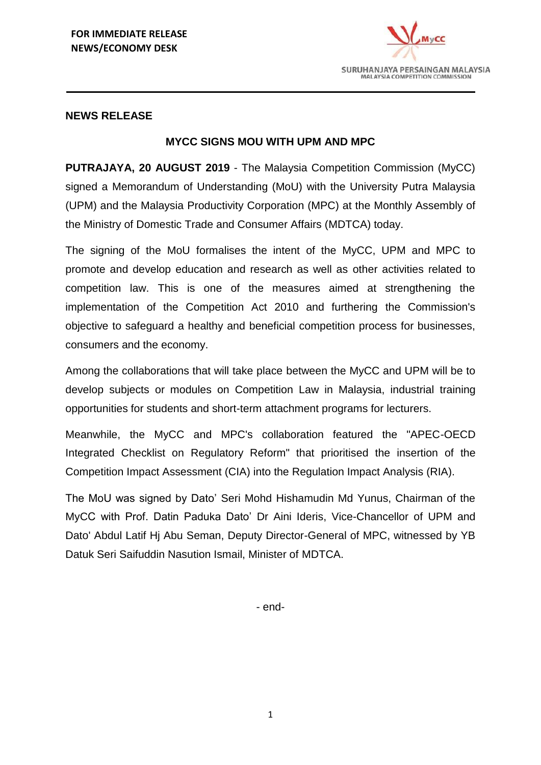

## **NEWS RELEASE**

## **MYCC SIGNS MOU WITH UPM AND MPC**

**PUTRAJAYA, 20 AUGUST 2019** - The Malaysia Competition Commission (MyCC) signed a Memorandum of Understanding (MoU) with the University Putra Malaysia (UPM) and the Malaysia Productivity Corporation (MPC) at the Monthly Assembly of the Ministry of Domestic Trade and Consumer Affairs (MDTCA) today.

The signing of the MoU formalises the intent of the MyCC, UPM and MPC to promote and develop education and research as well as other activities related to competition law. This is one of the measures aimed at strengthening the implementation of the Competition Act 2010 and furthering the Commission's objective to safeguard a healthy and beneficial competition process for businesses, consumers and the economy.

Among the collaborations that will take place between the MyCC and UPM will be to develop subjects or modules on Competition Law in Malaysia, industrial training opportunities for students and short-term attachment programs for lecturers.

Meanwhile, the MyCC and MPC's collaboration featured the "APEC-OECD Integrated Checklist on Regulatory Reform" that prioritised the insertion of the Competition Impact Assessment (CIA) into the Regulation Impact Analysis (RIA).

The MoU was signed by Dato' Seri Mohd Hishamudin Md Yunus, Chairman of the MyCC with Prof. Datin Paduka Dato' Dr Aini Ideris, Vice-Chancellor of UPM and Dato' Abdul Latif Hj Abu Seman, Deputy Director-General of MPC, witnessed by YB Datuk Seri Saifuddin Nasution Ismail, Minister of MDTCA.

- end-